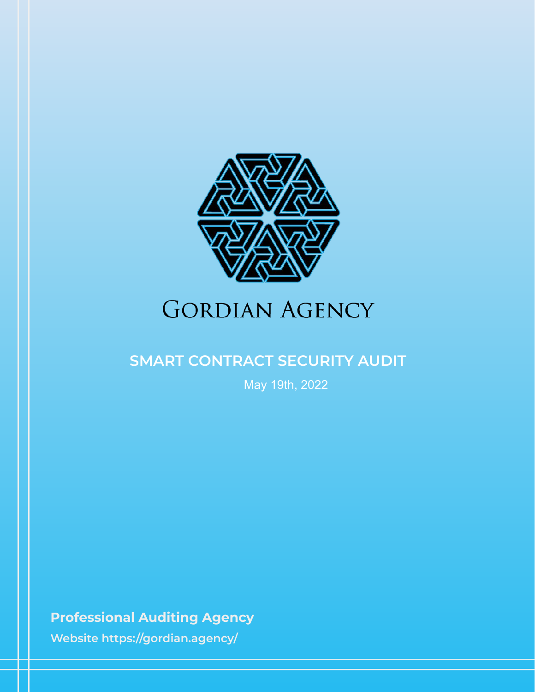

# **GORDIAN AGENCY**

## **SMART CONTRACT SECURITY AUDIT**

May 19th, 2022

**Professional Auditing Agency**

**Website https://gordian.agency/**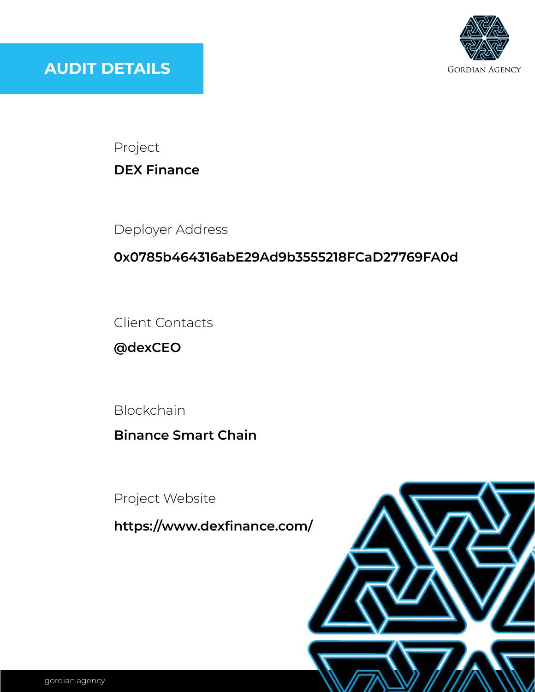

Project

**DEX Finance**

Deployer Address

### **0x0785b464316abE29Ad9b3555218FCaD27769FA0d**

Client Contacts

**@dexCEO**

Blockchain

**Binance Smart Chain**

Project Website

**https://www.dexfinance.com/**

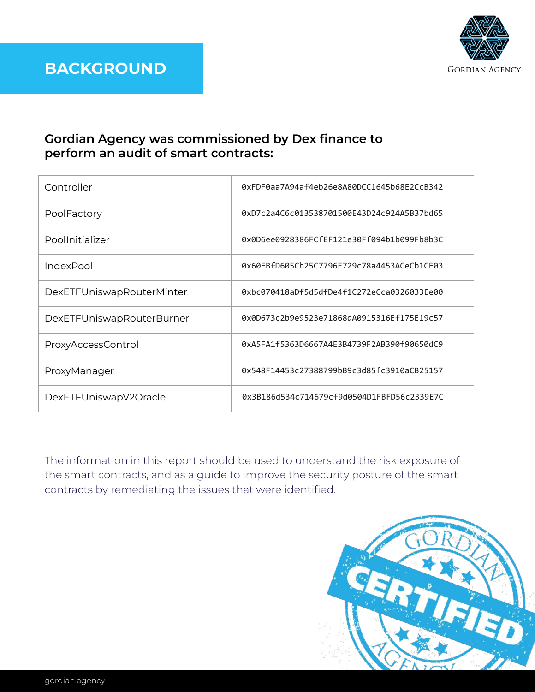

### **Gordian Agency was commissioned by Dex finance to perform an audit of smart contracts:**

| Controller                | 0xFDF0aa7A94af4eb26e8A80DCC1645b68E2CcB342 |
|---------------------------|--------------------------------------------|
| PoolFactory               | 0xD7c2a4C6c013538701500E43D24c924A5B37bd65 |
| PoolInitializer           | 0x0D6ee0928386FCfEF121e30Ff094b1b099Fb8b3C |
| IndexPool                 | 0x60EBfD605Cb25C7796F729c78a4453ACeCb1CE03 |
| DexETFUniswapRouterMinter | 0xbc070418aDf5d5dfDe4f1C272eCca0326033Ee00 |
| DexETFUniswapRouterBurner | 0x0D673c2b9e9523e71868dA0915316Ef175E19c57 |
| ProxyAccessControl        | 0xA5FA1f5363D6667A4E3B4739F2AB390f90650dC9 |
| ProxyManager              | 0x548F14453c27388799bB9c3d85fc3910aCB25157 |
| DexETFUniswapV2Oracle     | 0x3B186d534c714679cf9d0504D1FBFD56c2339E7C |

The information in this report should be used to understand the risk exposure of the smart contracts, and as a guide to improve the security posture of the smart contracts by remediating the issues that were identified.

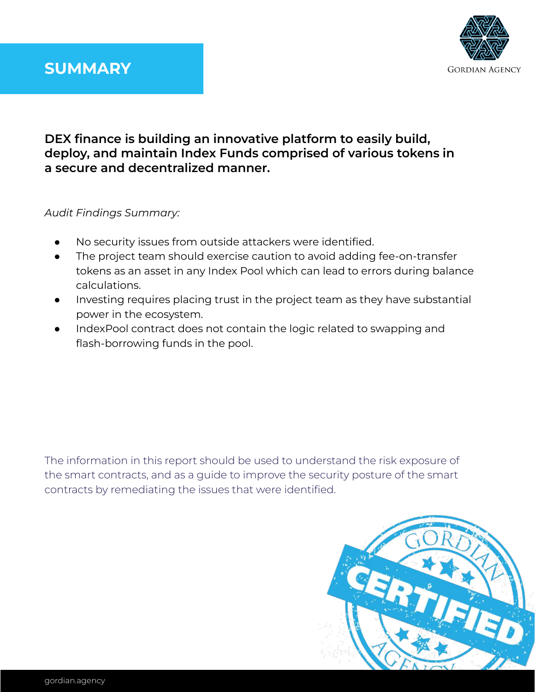# **SUMMARY**



### **DEX finance is building an innovative platform to easily build, deploy, and maintain Index Funds comprised of various tokens in a secure and decentralized manner.**

#### *Audit Findings Summary:*

- No security issues from outside attackers were identified.
- The project team should exercise caution to avoid adding fee-on-transfer tokens as an asset in any Index Pool which can lead to errors during balance calculations.
- Investing requires placing trust in the project team as they have substantial power in the ecosystem.
- IndexPool contract does not contain the logic related to swapping and flash-borrowing funds in the pool.

The information in this report should be used to understand the risk exposure of the smart contracts, and as a guide to improve the security posture of the smart contracts by remediating the issues that were identified.

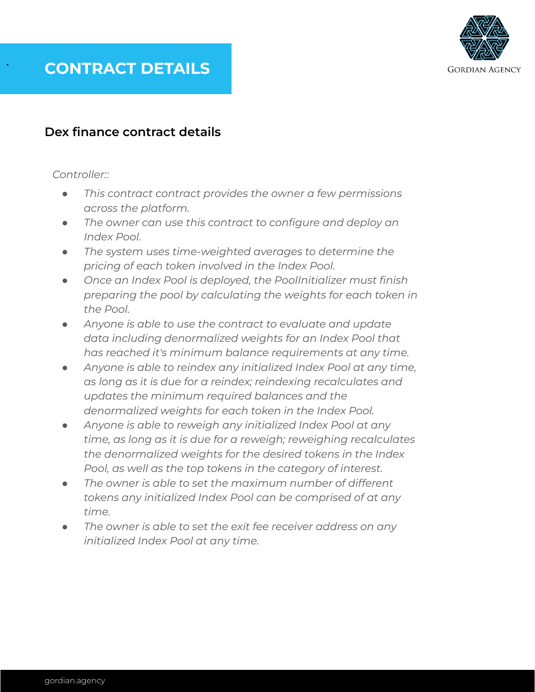

#### **Dex finance contract details**

#### *Controller::*

- *● This contract contract provides the owner a few permissions across the platform.*
- *● The owner can use this contract to configure and deploy an Index Pool.*
- *● The system uses time-weighted averages to determine the pricing of each token involved in the Index Pool.*
- *● Once an Index Pool is deployed, the PoolInitializer must finish preparing the pool by calculating the weights for each token in the Pool.*
- *● Anyone is able to use the contract to evaluate and update data including denormalized weights for an Index Pool that has reached it's minimum balance requirements at any time.*
- *● Anyone is able to reindex any initialized Index Pool at any time, as long as it is due for a reindex; reindexing recalculates and updates the minimum required balances and the denormalized weights for each token in the Index Pool.*
- *● Anyone is able to reweigh any initialized Index Pool at any time, as long as it is due for a reweigh; reweighing recalculates the denormalized weights for the desired tokens in the Index Pool, as well as the top tokens in the category of interest.*
- *● The owner is able to set the maximum number of different tokens any initialized Index Pool can be comprised of at any time.*
- The owner is able to set the exit fee receiver address on any *initialized Index Pool at any time.*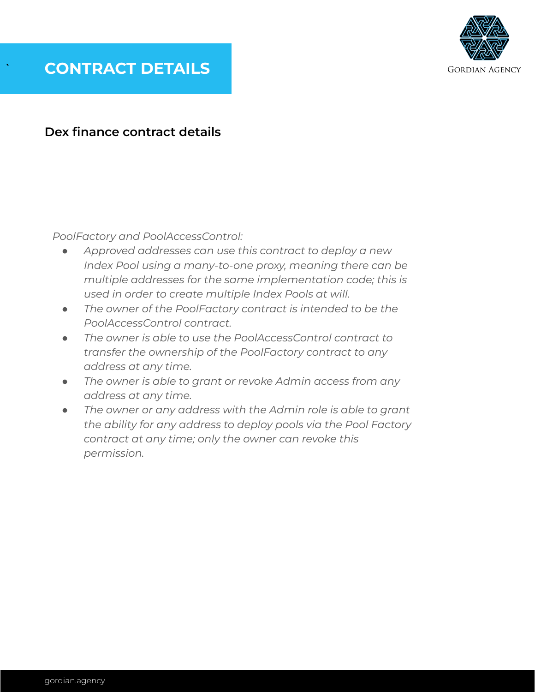

#### **Dex finance contract details**

*PoolFactory and PoolAccessControl:*

- *● Approved addresses can use this contract to deploy a new Index Pool using a many-to-one proxy, meaning there can be multiple addresses for the same implementation code; this is used in order to create multiple Index Pools at will.*
- *● The owner of the PoolFactory contract is intended to be the PoolAccessControl contract.*
- *● The owner is able to use the PoolAccessControl contract to transfer the ownership of the PoolFactory contract to any address at any time.*
- *● The owner is able to grant or revoke Admin access from any address at any time.*
- *● The owner or any address with the Admin role is able to grant the ability for any address to deploy pools via the Pool Factory contract at any time; only the owner can revoke this permission.*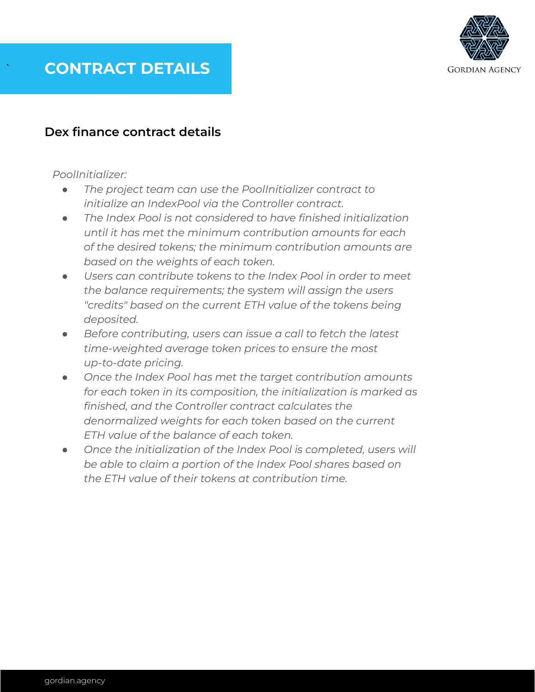

#### **Dex finance contract details**

#### *PoolInitializer:*

- *● The project team can use the PoolInitializer contract to initialize an IndexPool via the Controller contract.*
- *● The Index Pool is not considered to have finished initialization until it has met the minimum contribution amounts for each of the desired tokens; the minimum contribution amounts are based on the weights of each token.*
- *● Users can contribute tokens to the Index Pool in order to meet the balance requirements; the system will assign the users "credits" based on the current ETH value of the tokens being deposited.*
- *● Before contributing, users can issue a call to fetch the latest time-weighted average token prices to ensure the most up-to-date pricing.*
- *● Once the Index Pool has met the target contribution amounts for each token in its composition, the initialization is marked as finished, and the Controller contract calculates the denormalized weights for each token based on the current ETH value of the balance of each token.*
- *● Once the initialization of the Index Pool is completed, users will be able to claim a portion of the Index Pool shares based on the ETH value of their tokens at contribution time.*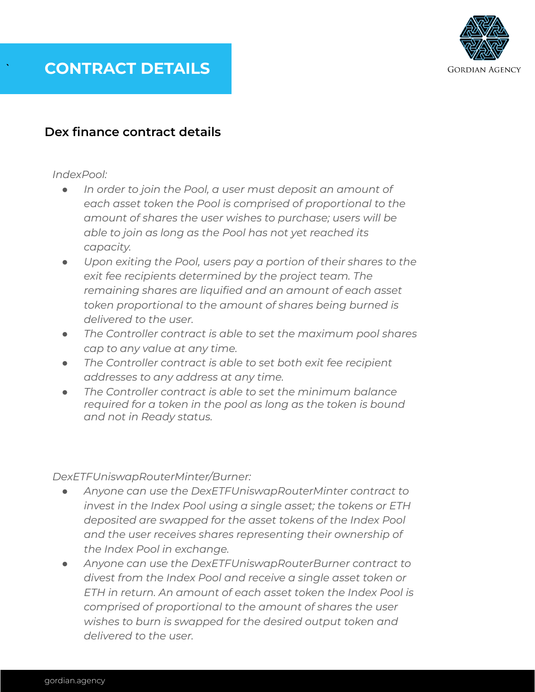

#### **Dex finance contract details**

*IndexPool:*

- *● In order to join the Pool, a user must deposit an amount of each asset token the Pool is comprised of proportional to the amount of shares the user wishes to purchase; users will be able to join as long as the Pool has not yet reached its capacity.*
- *● Upon exiting the Pool, users pay a portion of their shares to the exit fee recipients determined by the project team. The remaining shares are liquified and an amount of each asset token proportional to the amount of shares being burned is delivered to the user.*
- *● The Controller contract is able to set the maximum pool shares cap to any value at any time.*
- *● The Controller contract is able to set both exit fee recipient addresses to any address at any time.*
- *● The Controller contract is able to set the minimum balance required for a token in the pool as long as the token is bound and not in Ready status.*

*DexETFUniswapRouterMinter/Burner:*

- *● Anyone can use the DexETFUniswapRouterMinter contract to invest in the Index Pool using a single asset; the tokens or ETH deposited are swapped for the asset tokens of the Index Pool and the user receives shares representing their ownership of the Index Pool in exchange.*
- *● Anyone can use the DexETFUniswapRouterBurner contract to divest from the Index Pool and receive a single asset token or ETH in return. An amount of each asset token the Index Pool is comprised of proportional to the amount of shares the user wishes to burn is swapped for the desired output token and delivered to the user.*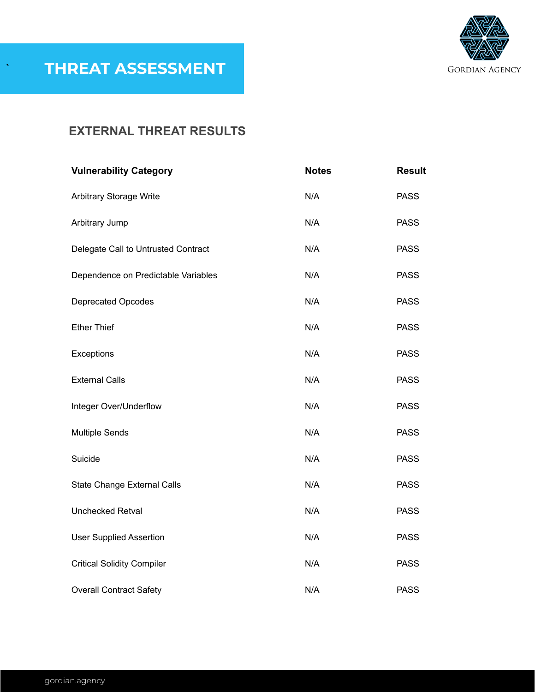

### **EXTERNAL THREAT RESULTS**

| <b>Vulnerability Category</b>       | <b>Notes</b> | <b>Result</b> |
|-------------------------------------|--------------|---------------|
| Arbitrary Storage Write             | N/A          | <b>PASS</b>   |
| Arbitrary Jump                      | N/A          | <b>PASS</b>   |
| Delegate Call to Untrusted Contract | N/A          | <b>PASS</b>   |
| Dependence on Predictable Variables | N/A          | <b>PASS</b>   |
| <b>Deprecated Opcodes</b>           | N/A          | <b>PASS</b>   |
| <b>Ether Thief</b>                  | N/A          | <b>PASS</b>   |
| Exceptions                          | N/A          | <b>PASS</b>   |
| <b>External Calls</b>               | N/A          | <b>PASS</b>   |
| Integer Over/Underflow              | N/A          | <b>PASS</b>   |
| <b>Multiple Sends</b>               | N/A          | <b>PASS</b>   |
| Suicide                             | N/A          | <b>PASS</b>   |
| <b>State Change External Calls</b>  | N/A          | <b>PASS</b>   |
| <b>Unchecked Retval</b>             | N/A          | <b>PASS</b>   |
| <b>User Supplied Assertion</b>      | N/A          | <b>PASS</b>   |
| <b>Critical Solidity Compiler</b>   | N/A          | <b>PASS</b>   |
| <b>Overall Contract Safety</b>      | N/A          | <b>PASS</b>   |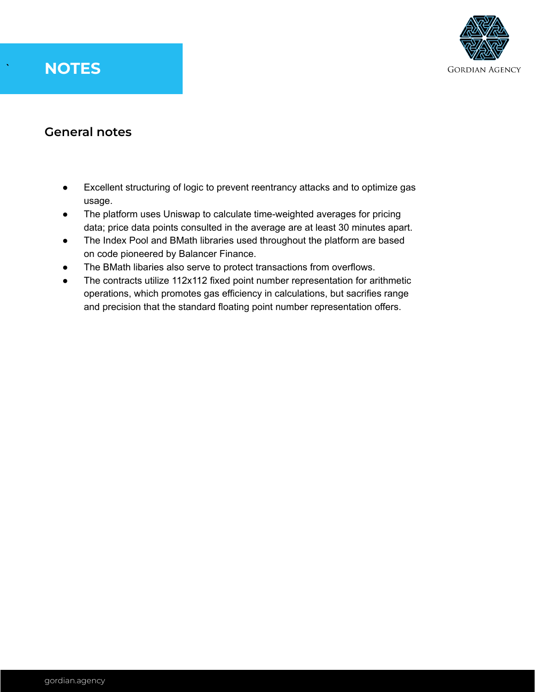# ` **NOTES**



### **General notes**

- Excellent structuring of logic to prevent reentrancy attacks and to optimize gas usage.
- The platform uses Uniswap to calculate time-weighted averages for pricing data; price data points consulted in the average are at least 30 minutes apart.
- The Index Pool and BMath libraries used throughout the platform are based on code pioneered by Balancer Finance.
- The BMath libaries also serve to protect transactions from overflows.
- The contracts utilize 112x112 fixed point number representation for arithmetic operations, which promotes gas efficiency in calculations, but sacrifies range and precision that the standard floating point number representation offers.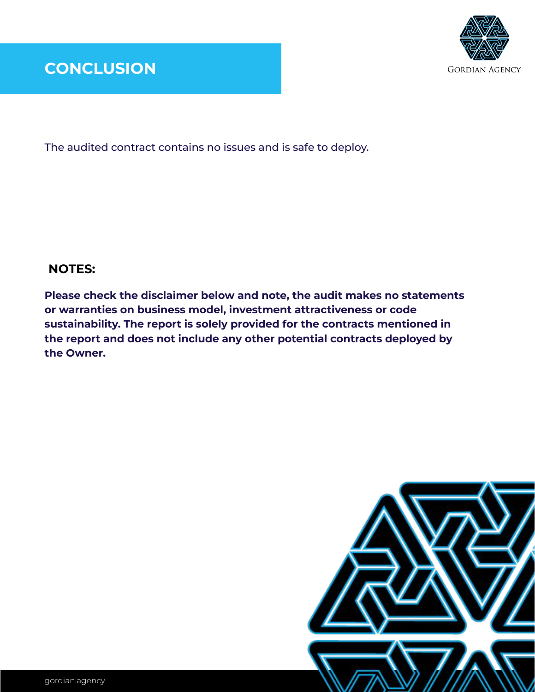

### **CONCLUSION**

The audited contract contains no issues and is safe to deploy.

#### **NOTES:**

**Please check the disclaimer below and note, the audit makes no statements or warranties on business model, investment attractiveness or code sustainability. The report is solely provided for the contracts mentioned in the report and does not include any other potential contracts deployed by the Owner.**